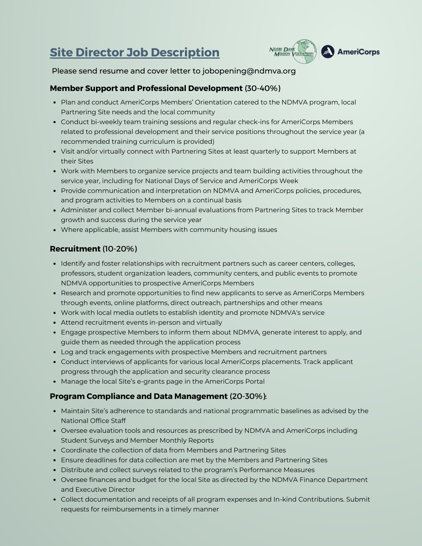# **Site Director Job Description**



Please send resume and cover letter to [jobopening@ndmva.org](mailto:jobopening@ndmva.org)

## **Member Support and Professional Development** (30-40%)

- Plan and conduct AmeriCorps Members' Orientation catered to the NDMVA program, local Partnering Site needs and the local community
- Conduct bi-weekly team training sessions and regular check-ins for AmeriCorps Members related to professional development and their service positions throughout the service year (a recommended training curriculum is provided)
- Visit and/or virtually connect with Partnering Sites at least quarterly to support Members at their Sites
- Work with Members to organize service projects and team building activities throughout the service year, including for National Days of Service and AmeriCorps Week
- Provide communication and interpretation on NDMVA and AmeriCorps policies, procedures, and program activities to Members on a continual basis
- Administer and collect Member bi-annual evaluations from Partnering Sites to track Member growth and success during the service year
- Where applicable, assist Members with community housing issues

## **Recruitment** (10-20%)

- Identify and foster relationships with recruitment partners such as career centers, colleges, professors, student organization leaders, community centers, and public events to promote NDMVA opportunities to prospective AmeriCorps Members
- Research and promote opportunities to find new applicants to serve as AmeriCorps Members through events, online platforms, direct outreach, partnerships and other means
- Work with local media outlets to establish identity and promote NDMVA's service
- Attend recruitment events in-person and virtually
- Engage prospective Members to inform them about NDMVA, generate interest to apply, and guide them as needed through the application process
- Log and track engagements with prospective Members and recruitment partners
- Conduct interviews of applicants for various local AmeriCorps placements. Track applicant progress through the application and security clearance process
- Manage the local Site's e-grants page in the AmeriCorps Portal

#### **Program Compliance and Data Management** (20-30%):

- Maintain Site's adherence to standards and national programmatic baselines as advised by the National Office Staff
- Oversee evaluation tools and resources as prescribed by NDMVA and AmeriCorps including Student Surveys and Member Monthly Reports
- Coordinate the collection of data from Members and Partnering Sites
- Ensure deadlines for data collection are met by the Members and Partnering Sites
- Distribute and collect surveys related to the program's Performance Measures
- Oversee finances and budget for the local Site as directed by the NDMVA Finance Department and Executive Director
- Collect documentation and receipts of all program expenses and In-kind Contributions. Submit requests for reimbursements in a timely manner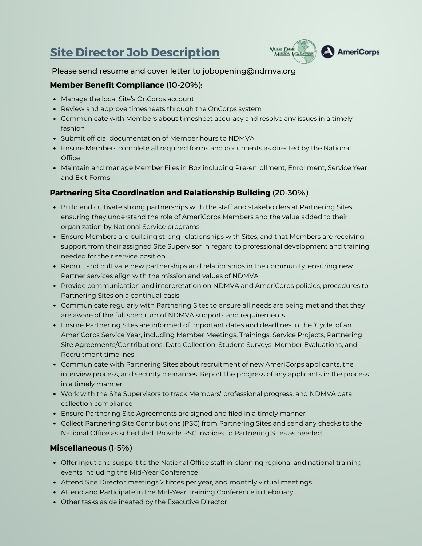## **Site Director Job Description**



#### Please send resume and cover letter to [jobopening@ndmva.org](mailto:jobopening@ndmva.org)

### **Member Benefit Compliance** (10-20%):

- Manage the local Site's OnCorps account
- Review and approve timesheets through the OnCorps system
- Communicate with Members about timesheet accuracy and resolve any issues in a timely fashion
- Submit official documentation of Member hours to NDMVA
- Ensure Members complete all required forms and documents as directed by the National **Office**
- Maintain and manage Member Files in Box including Pre-enrollment, Enrollment, Service Year and Exit Forms

## **Partnering Site Coordination and Relationship Building** (20-30%)

- **Build and cultivate strong partnerships with the staff and stakeholders at Partnering Sites,** ensuring they understand the role of AmeriCorps Members and the value added to their organization by National Service programs
- Ensure Members are building strong relationships with Sites, and that Members are receiving support from their assigned Site Supervisor in regard to professional development and training needed for their service position
- Recruit and cultivate new partnerships and relationships in the community, ensuring new Partner services align with the mission and values of NDMVA
- Provide communication and interpretation on NDMVA and AmeriCorps policies, procedures to Partnering Sites on a continual basis
- Communicate regularly with Partnering Sites to ensure all needs are being met and that they are aware of the full spectrum of NDMVA supports and requirements
- Ensure Partnering Sites are informed of important dates and deadlines in the 'Cycle' of an AmeriCorps Service Year, including Member Meetings, Trainings, Service Projects, Partnering Site Agreements/Contributions, Data Collection, Student Surveys, Member Evaluations, and Recruitment timelines
- Communicate with Partnering Sites about recruitment of new AmeriCorps applicants, the interview process, and security clearances. Report the progress of any applicants in the process in a timely manner
- Work with the Site Supervisors to track Members' professional progress, and NDMVA data collection compliance
- Ensure Partnering Site Agreements are signed and filed in a timely manner
- Collect Partnering Site Contributions (PSC) from Partnering Sites and send any checks to the National Office as scheduled. Provide PSC invoices to Partnering Sites as needed

#### **Miscellaneous** (1-5%)

- Offer input and support to the National Office staff in planning regional and national training events including the Mid-Year Conference
- Attend Site Director meetings 2 times per year, and monthly virtual meetings
- Attend and Participate in the Mid-Year Training Conference in February
- Other tasks as delineated by the Executive Director